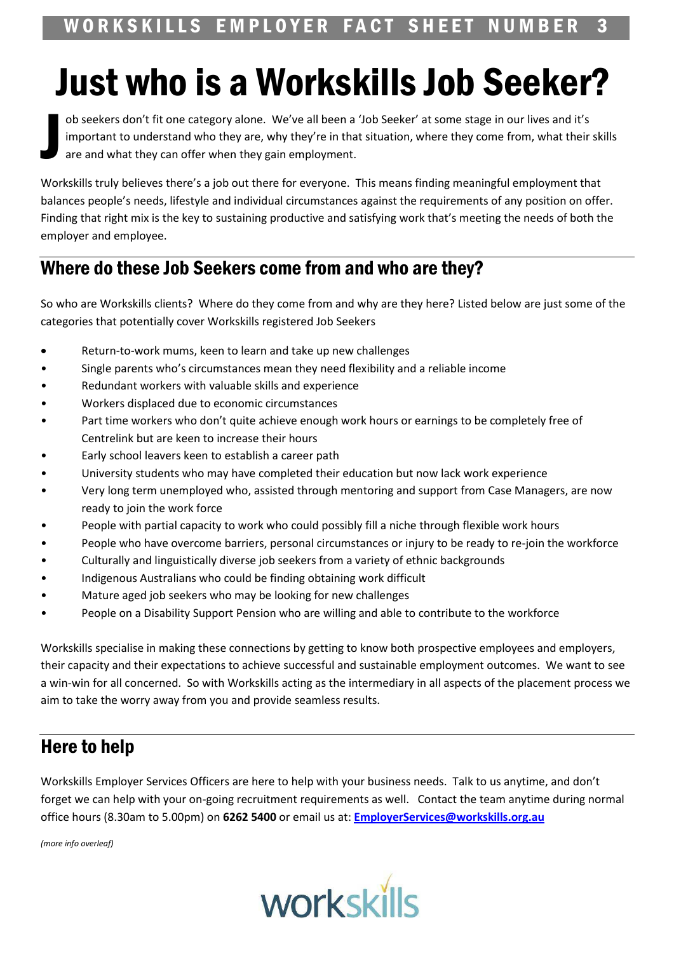## **Just who is a Workskills Job Seeker?**

ob seekers don't fit one category alone. We've all been a 'Job Seeker' at some stage in our lives and it's important to understand who they are, why they're in that situation, where they come from, what their skills are and what they can offer when they gain employment.

Workskills truly believes there's a job out there for everyone. This means finding meaningful employment that balances people's needs, lifestyle and individual circumstances against the requirements of any position on offer. Finding that right mix is the key to sustaining productive and satisfying work that's meeting the needs of both the employer and employee.

## Where do these Job Seekers come from and who are they?

So who are Workskills clients? Where do they come from and why are they here? Listed below are just some of the categories that potentially cover Workskills registered Job Seekers

- Return-to-work mums, keen to learn and take up new challenges
- Single parents who's circumstances mean they need flexibility and a reliable income
- Redundant workers with valuable skills and experience
- Workers displaced due to economic circumstances
- Part time workers who don't quite achieve enough work hours or earnings to be completely free of Centrelink but are keen to increase their hours
- Early school leavers keen to establish a career path
- University students who may have completed their education but now lack work experience
- Very long term unemployed who, assisted through mentoring and support from Case Managers, are now ready to join the work force
- People with partial capacity to work who could possibly fill a niche through flexible work hours
- People who have overcome barriers, personal circumstances or injury to be ready to re-join the workforce
- Culturally and linguistically diverse job seekers from a variety of ethnic backgrounds
- Indigenous Australians who could be finding obtaining work difficult
- Mature aged job seekers who may be looking for new challenges
- People on a Disability Support Pension who are willing and able to contribute to the workforce

Workskills specialise in making these connections by getting to know both prospective employees and employers, their capacity and their expectations to achieve successful and sustainable employment outcomes. We want to see a win-win for all concerned. So with Workskills acting as the intermediary in all aspects of the placement process we aim to take the worry away from you and provide seamless results.

## **Here to help**

Workskills Employer Services Officers are here to help with your business needs. Talk to us anytime, and don't forget we can help with your on-going recruitment requirements as well. Contact the team anytime during normal office hours (8.30am to 5.00pm) on 6262 5400 or email us at: EmployerServices@workskills.org.au

(more info overleaf)